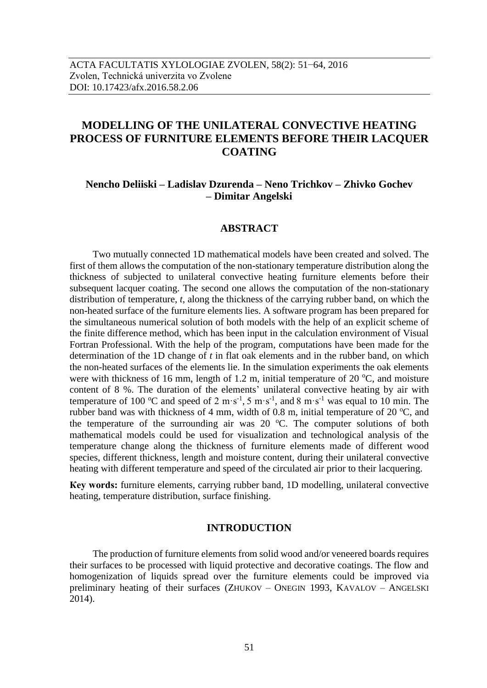# **MODELLING OF THE UNILATERAL CONVECTIVE HEATING PROCESS OF FURNITURE ELEMENTS BEFORE THEIR LACQUER COATING**

# **Nencho Deliiski – Ladislav Dzurenda – Neno Trichkov – Zhivko Gochev – Dimitar Angelski**

## **ABSTRACT**

Two mutually connected 1D mathematical models have been created and solved. The first of them allows the computation of the non-stationary temperature distribution along the thickness of subjected to unilateral convective heating furniture elements before their subsequent lacquer coating. The second one allows the computation of the non-stationary distribution of temperature, *t*, along the thickness of the carrying rubber band, on which the non-heated surface of the furniture elements lies. A software program has been prepared for the simultaneous numerical solution of both models with the help of an explicit scheme of the finite difference method, which has been input in the calculation environment of Visual Fortran Professional. With the help of the program, computations have been made for the determination of the 1D change of *t* in flat oak elements and in the rubber band, on which the non-heated surfaces of the elements lie. In the simulation experiments the oak elements were with thickness of 16 mm, length of 1.2 m, initial temperature of 20  $\degree$ C, and moisture content of 8 %. The duration of the elements' unilateral convective heating by air with temperature of 100 °C and speed of 2 m·s<sup>-1</sup>, 5 m·s<sup>-1</sup>, and 8 m·s<sup>-1</sup> was equal to 10 min. The rubber band was with thickness of 4 mm, width of 0.8 m, initial temperature of 20  $^{\circ}$ C, and the temperature of the surrounding air was  $20^{\circ}$ C. The computer solutions of both mathematical models could be used for visualization and technological analysis of the temperature change along the thickness of furniture elements made of different wood species, different thickness, length and moisture content, during their unilateral convective heating with different temperature and speed of the circulated air prior to their lacquering.

**Кey words:** furniture elements, carrying rubber band, 1D modelling, unilateral convective heating, temperature distribution, surface finishing.

### **INTRODUCTION**

The production of furniture elements from solid wood and/or veneered boards requires their surfaces to be processed with liquid protective and decorative coatings. The flow and homogenization of liquids spread over the furniture elements could be improved via preliminary heating of their surfaces (ZHUKOV – ONEGIN 1993, KAVALOV – ANGELSKI 2014).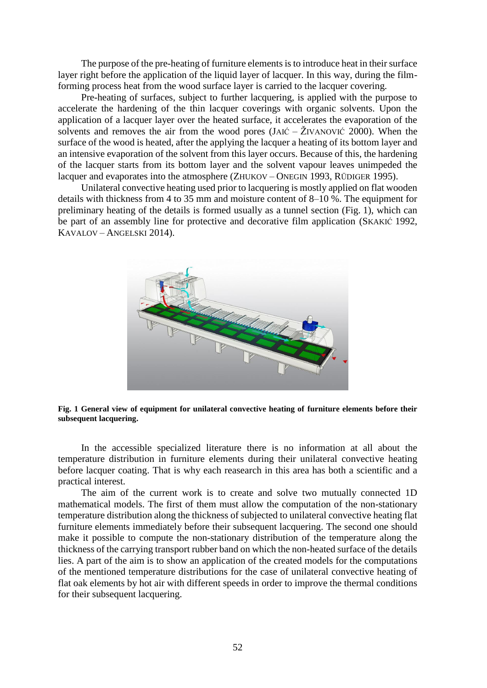The purpose of the pre-heating of furniture elements is to introduce heat in their surface layer right before the application of the liquid layer of lacquer. In this way, during the filmforming process heat from the wood surface layer is carried to the lacquer covering.

Pre-heating of surfaces, subject to further lacquering, is applied with the purpose to accelerate the hardening of the thin lacquer coverings with organic solvents. Upon the application of a lacquer layer over the heated surface, it accelerates the evaporation of the solvents and removes the air from the wood pores  $(JAI\acute{c} - \check{Z}IVANOVI\acute{c} 2000)$ . When the surface of the wood is heated, after the applying the lacquer a heating of its bottom layer and an intensive evaporation of the solvent from this layer occurs. Because of this, the hardening of the lacquer starts from its bottom layer and the solvent vapour leaves unimpeded the lacquer and evaporates into the atmosphere (ZHUKOV – ONEGIN 1993, RÜDIGER 1995).

Unilateral convective heating used prior to lacquering is mostly applied on flat wooden details with thickness from 4 to 35 mm and moisture content of 8–10 %. The equipment for preliminary heating of the details is formed usually as a tunnel section (Fig. 1), which can be part of an assembly line for protective and decorative film application (SKAKIĆ 1992, KAVALOV – ANGELSKI 2014).



**Fig. 1 General view of equipment for unilateral convective heating of furniture elements before their subsequent lacquering.**

In the accessible specialized literature there is no information at all about the temperature distribution in furniture elements during their unilateral convective heating before lacquer coating. That is why each reasearch in this area has both a scientific and a practical interest.

The aim of the current work is to create and solve two mutually connected 1D mathematical models. The first of them must allow the computation of the non-stationary temperature distribution along the thickness of subjected to unilateral convective heating flat furniture elements immediately before their subsequent lacquering. The second one should make it possible to compute the non-stationary distribution of the temperature along the thickness of the carrying transport rubber band on which the non-heated surface of the details lies. A part of the aim is to show an application of the created models for the computations of the mentioned temperature distributions for the case of unilateral convective heating of flat oak elements by hot air with different speeds in order to improve the thermal conditions for their subsequent lacquering.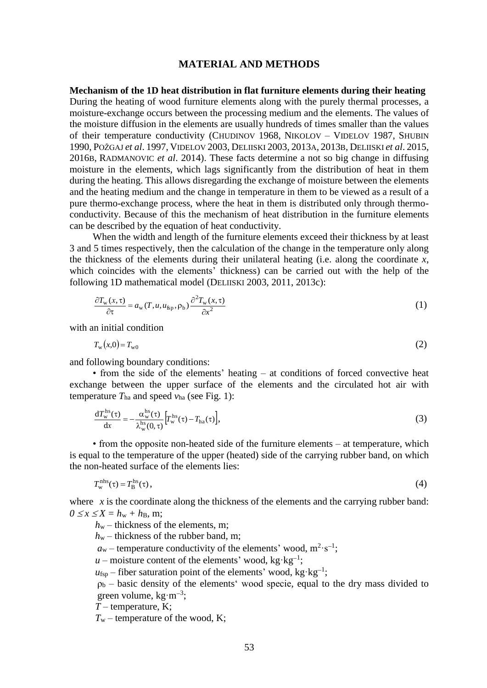### **MATERIAL AND METHODS**

**Mechanism of the 1D heat distribution in flat furniture elements during their heating**

During the heating of wood furniture elements along with the purely thermal processes, a moisture-exchange occurs between the processing medium and the elements. The values of the moisture diffusion in the elements are usually hundreds of times smaller than the values of their temperature conductivity (CHUDINOV 1968, NIKOLOV – VIDELOV 1987, SHUBIN 1990, POŽGAJ *et al*. 1997, VIDELOV 2003, DELIISKI 2003, 2013A, 2013B, DELIISKI *et al*. 2015, 2016B, RADMANOVIC *et al*. 2014). These facts determine a not so big change in diffusing moisture in the elements, which lags significantly from the distribution of heat in them during the heating. This allows disregarding the exchange of moisture between the elements and the heating medium and the change in temperature in them to be viewed as a result of a pure thermo-exchange process, where the heat in them is distributed only through thermoconductivity. Because of this the mechanism of heat distribution in the furniture elements can be described by the equation of heat conductivity.

When the width and length of the furniture elements exceed their thickness by at least 3 and 5 times respectively, then the calculation of the change in the temperature only along the thickness of the elements during their unilateral heating (i.e. along the coordinate *x*, which coincides with the elements' thickness) can be carried out with the help of the following 1D mathematical model (DELIISKI 2003, 2011, 2013c):

$$
\frac{\partial T_{\mathbf{w}}(x,\tau)}{\partial \tau} = a_{\mathbf{w}}(T, u, u_{\text{fp}}, \rho_{\text{b}}) \frac{\partial^2 T_{\mathbf{w}}(x,\tau)}{\partial x^2}
$$
(1)

with an initial condition

$$
T_{\rm w}(x,0) = T_{\rm w0} \tag{2}
$$

and following boundary conditions:

• from the side of the elements' heating – at conditions of forced convective heat exchange between the upper surface of the elements and the circulated hot air with temperature  $T_{ha}$  and speed  $v_{ha}$  (see Fig. 1):

$$
\frac{dT_w^{hs}(\tau)}{dx} = -\frac{\alpha_w^{hs}(\tau)}{\lambda_w^{hs}(0,\tau)} \Big[ T_w^{hs}(\tau) - T_{ha}(\tau) \Big],\tag{3}
$$

• from the opposite non-heated side of the furniture elements – at temperature, which is equal to the temperature of the upper (heated) side of the carrying rubber band, on which the non-heated surface of the elements lies:

$$
T_{\rm w}^{\rm nhs}(\tau) = T_{\rm B}^{\rm hs}(\tau)\,,\tag{4}
$$

where *x* is the coordinate along the thickness of the elements and the carrying rubber band:  $0 \leq x \leq X = h_w + h_B$ , m;

- *h*<sub>w</sub> thickness of the elements, m;
- $h_w$  thickness of the rubber band, m;
- $a_w$  temperature conductivity of the elements' wood,  $m^2 \cdot s^{-1}$ ;
- $u$  moisture content of the elements' wood, kg·kg<sup>-1</sup>;
- $u_{\text{fsp}}$  fiber saturation point of the elements' wood, kg·kg<sup>-1</sup>;

 $p_b$  – basic density of the elements' wood specie, equal to the dry mass divided to green volume,  $kg \cdot m^{-3}$ ;

*T –* temperature, K;

 $T_w$  – temperature of the wood, K;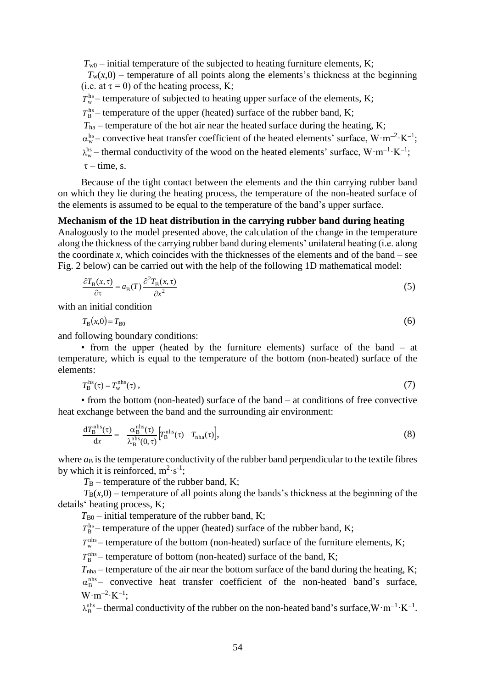$T_{w0}$  – initial temperature of the subjected to heating furniture elements, K;

 $T_w(x,0)$  – temperature of all points along the elements's thickness at the beginning (i.e. at  $\tau = 0$ ) of the heating process, K;

 $T_w^{\text{hs}}$  – temperature of subjected to heating upper surface of the elements, K;

 $T_{\rm B}^{\rm hs}$  – temperature of the upper (heated) surface of the rubber band, K;

- $T<sub>ha</sub>$  temperature of the hot air near the heated surface during the heating, K;
- $\alpha_{w}^{hs}$  convective heat transfer coefficient of the heated elements' surface,  $W \cdot m^{-2} \cdot K^{-1}$ ;
- $\lambda_w^{\text{hs}}$  thermal conductivity of the wood on the heated elements' surface,  $W \cdot m^{-1} \cdot K^{-1}$ ;

 $\tau$  – time, s.

Because of the tight contact between the elements and the thin carrying rubber band on which they lie during the heating process, the temperature of the non-heated surface of the elements is assumed to be equal to the temperature of the band's upper surface.

# **Mechanism of the 1D heat distribution in the carrying rubber band during heating**

Analogously to the model presented above, the calculation of the change in the temperature along the thickness of the carrying rubber band during elements' unilateral heating (i.e. along the coordinate *x*, which coincides with the thicknesses of the elements and of the band – see Fig. 2 below) can be carried out with the help of the following 1D mathematical model:

$$
\frac{\partial T_{\mathbf{B}}(x,\tau)}{\partial \tau} = a_{\mathbf{B}}(T) \frac{\partial^2 T_{\mathbf{B}}(x,\tau)}{\partial x^2}
$$
(5)

with an initial condition

 $T_{\rm B}(x,0) = T_{\rm B0}$  $T_{\rm B0}$  (6)

and following boundary conditions:

• from the upper (heated by the furniture elements) surface of the band – at temperature, which is equal to the temperature of the bottom (non-heated) surface of the elements:

$$
T_{\rm B}^{\rm hs}(\tau) = T_{\rm w}^{\rm nhs}(\tau) \,,\tag{7}
$$

• from the bottom (non-heated) surface of the band – at conditions of free convective heat exchange between the band and the surrounding air environment:

$$
\frac{dT_{\rm B}^{\rm nhs}(\tau)}{dx} = -\frac{\alpha_{\rm B}^{\rm nhs}(\tau)}{\lambda_{\rm B}^{\rm nhs}(0,\tau)} \Big[ T_{\rm B}^{\rm nhs}(\tau) - T_{\rm nha}(\tau) \Big],\tag{8}
$$

where  $a_B$  is the temperature conductivity of the rubber band perpendicular to the textile fibres by which it is reinforced,  $m^2 \cdot s^{-1}$ ;

 $T_{\rm B}$  – temperature of the rubber band, K;

 $T_B(x,0)$  – temperature of all points along the bands's thickness at the beginning of the details' heating process, K;

 $T_{B0}$  – initial temperature of the rubber band, K;

 $T_{\rm B}^{\rm hs}$  – temperature of the upper (heated) surface of the rubber band, K;

 $T_w^{\text{nhs}}$  – temperature of the bottom (non-heated) surface of the furniture elements, K;

 $T_{\rm B}^{\rm nhs}$  – temperature of bottom (non-heated) surface of the band, K;

 $T_{nha}$  – temperature of the air near the bottom surface of the band during the heating, K;  $\alpha_{\rm B}^{\rm nhs}$  – convective heat transfer coefficient of the non-heated band's surface,  $W \cdot m^{-2} \cdot K^{-1}$ ;

 $\lambda_B^{nhs}$  – thermal conductivity of the rubber on the non-heated band's surface,  $W \cdot m^{-1} \cdot K^{-1}$ .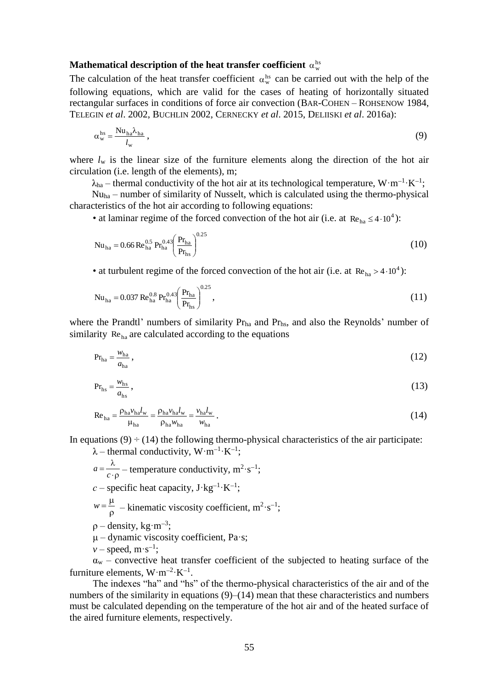# Mathematical description of the heat transfer coefficient  $\alpha_{\rm w}^{\rm hs}$

The calculation of the heat transfer coefficient  $\alpha_w^{hs}$  can be carried out with the help of the following equations, which are valid for the cases of heating of horizontally situated rectangular surfaces in conditions of force air convection (BAR-C[OHEN](http://www.scopus.com/authid/detail.uri?authorId=7006690561&eid=2-s2.0-0021370981) – R[OHSENOW](http://www.scopus.com/authid/detail.uri?authorId=7004461943&eid=2-s2.0-0021370981) 1984, TELEGIN *et al*. 2002, BUCHLIN 2002, CERNECKY *et al*. 2015, DELIISKI *et al*. 2016a):

$$
\alpha_{\rm w}^{\rm hs} = \frac{\rm Nu_{ha}\lambda_{ha}}{l_{\rm w}}\,,\tag{9}
$$

where *l*<sup>w</sup> is the linear size of the furniture elements along the direction of the hot air circulation (i.e. length of the elements), m;

 $\lambda_{ha}$  – thermal conductivity of the hot air at its technological temperature,  $W \cdot m^{-1} \cdot K^{-1}$ ;

Nuha – number of similarity of Nusselt, which is calculated using the thermo-physical characteristics of the hot air according to following equations:

• at laminar regime of the forced convection of the hot air (i.e. at  $Re_{ha} \leq 4.10^4$ ):

$$
Nu_{ha} = 0.66 \text{ Re}_{ha}^{0.5} \text{ Pr}_{ha}^{0.43} \left(\frac{\text{Pr}_{ha}}{\text{Pr}_{hs}}\right)^{0.25} \tag{10}
$$

• at turbulent regime of the forced convection of the hot air (i.e. at  $Re_{ha} > 4.10^4$ ):

$$
Nu_{ha} = 0.037 \text{ Re}_{ha}^{0.8} \text{ Pr}_{ha}^{0.43} \left( \frac{\text{Pr}_{ha}}{\text{Pr}_{hs}} \right)^{0.25},\tag{11}
$$

where the Prandtl' numbers of similarity Pr<sub>ha</sub> and Pr<sub>hs</sub>, and also the Reynolds' number of similarity Reha are calculated according to the equations

$$
Prha = \frac{w_{ha}}{a_{ha}},
$$
\n(12)

$$
Pr_{hs} = \frac{w_{hs}}{a_{hs}} \tag{13}
$$

$$
\text{Re}_{\text{ha}} = \frac{\rho_{\text{ha}} v_{\text{ha}} l_{\text{w}}}{\mu_{\text{ha}}} = \frac{\rho_{\text{ha}} v_{\text{ha}} l_{\text{w}}}{\rho_{\text{ha}} w_{\text{ha}}} = \frac{v_{\text{ha}} l_{\text{w}}}{w_{\text{ha}}} \,. \tag{14}
$$

In equations  $(9) \div (14)$  the following thermo-physical characteristics of the air participate:

- $\lambda$  thermal conductivity,  $W \cdot m^{-1} \cdot K^{-1}$ ;  $\cdot \rho$  $=\frac{\lambda}{\lambda}$  $a = \frac{\pi}{c \cdot \rho}$  – temperature conductivity, m<sup>2</sup>·s<sup>-1</sup>;  $c$  – specific heat capacity,  $J$ ·kg<sup>-1</sup>·K<sup>-1</sup>;  $\rho$  $w = \frac{\mu}{\Omega}$  – kinematic viscosity coefficient, m<sup>2</sup>·s<sup>-1</sup>;  $p$  – density, kg·m<sup>-3</sup>;  $\mu$  – dynamic viscosity coefficient, Pa·s;
- $v$  speed, m·s<sup>-1</sup>;

 $\alpha_w$  – convective heat transfer coefficient of the subjected to heating surface of the furniture elements,  $W \cdot m^{-2} \cdot K^{-1}$ .

The indexes "ha" and "hs" of the thermo-physical characteristics of the air and of the numbers of the similarity in equations (9)–(14) mean that these characteristics and numbers must be calculated depending on the temperature of the hot air and of the heated surface of the aired furniture elements, respectively.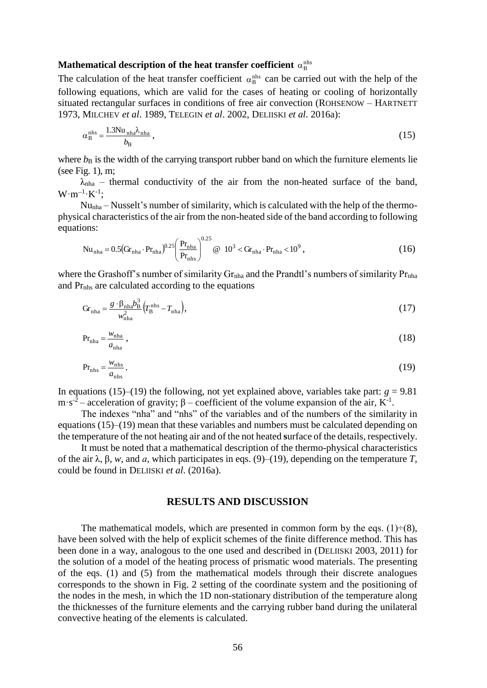# Mathematical description of the heat transfer coefficient  $\alpha_{\mathrm{B}}^{\text{nhs}}$

The calculation of the heat transfer coefficient  $\alpha_B^{nhs}$  can be carried out with the help of the following equations, which are valid for the cases of heating or cooling of horizontally situated rectangular surfaces in conditions of free air convection (ROHSENOW – HARTNETT 1973, MILCHEV *et al*. 1989, TELEGIN *et al*. 2002, DELIISKI *et al*. 2016a):

$$
\alpha_{\rm B}^{\rm nhs} = \frac{1.3 \text{Nu}_{\text{nha}} \lambda_{\text{nha}}}{b_{\rm B}},\tag{15}
$$

where  $b_B$  is the width of the carrying transport rubber band on which the furniture elements lie (see Fig. 1), m;

 $\lambda_{nha}$  – thermal conductivity of the air from the non-heated surface of the band,  $W \cdot m^{-1} \cdot K^{-1}$ ;

Nunha – Nusselt's number of similarity, which is calculated with the help of the thermophysical characteristics of the air from the non-heated side of the band according to following equations:  $0.25$ 

$$
Nu_{nha} = 0.5(Gr_{nha} \cdot Pr_{nha})^{0.25} \left(\frac{Pr_{nha}}{Pr_{nhs}}\right)^{0.25} \text{ @ } 10^3 < Gr_{nha} \cdot Pr_{nha} < 10^9 \,,\tag{16}
$$

where the Grashoff's number of similarity  $Gr<sub>nha</sub>$  and the Prandtl's numbers of similarity  $Pr<sub>nha</sub>$ and Prnhs are calculated according to the equations

$$
Gr_{nha} = \frac{g \cdot \beta_{nha} b_B^3}{w_{nha}^2} (T_B^{nhs} - T_{nha}),
$$
\n(17)

$$
Prnha = \frac{w_{nha}}{a_{nha}},
$$
\n(18)

$$
Pr_{\text{nhs}} = \frac{w_{\text{nhs}}}{a_{\text{nhs}}}.
$$
\n(19)

In equations (15)–(19) the following, not yet explained above, variables take part:  $g = 9.81$ m·s<sup>-2</sup> – acceleration of gravity;  $\beta$  – coefficient of the volume expansion of the air, K<sup>-1</sup>.

The indexes "nha" and "nhs" of the variables and of the numbers of the similarity in equations (15)–(19) mean that these variables and numbers must be calculated depending on the temperature of the not heating air and of the not heated **s**urface of the details, respectively.

It must be noted that a mathematical description of the thermo-physical characteristics of the air λ, β, *w*, and *а*, which participates in eqs. (9)–(19), depending on the temperature *T*, could be found in DELIISKI *et al*. (2016a).

# **RESULTS AND DISCUSSION**

The mathematical models, which are presented in common form by the eqs.  $(1) \div (8)$ , have been solved with the help of explicit schemes of the finite difference method. This has been done in a way, analogous to the one used and described in (DELIISKI 2003, 2011) for the solution of a model of the heating process of prismatic wood materials. The presenting of the eqs. (1) and (5) from the mathematical models through their discrete analogues corresponds to the shown in Fig. 2 setting of the coordinate system and the positioning of the nodes in the mesh, in which the 1D non-stationary distribution of the temperature along the thicknesses of the furniture elements and the carrying rubber band during the unilateral convective heating of the elements is calculated.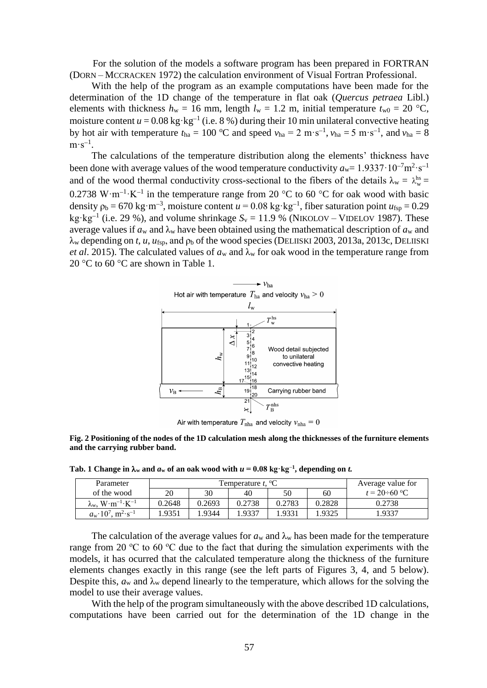For the solution of the models a software program has been prepared in FORTRAN (DORN – MCCRACKEN 1972) the calculation environment of Visual Fortran Professional.

With the help of the program as an example computations have been made for the determination of the 1D change of the temperature in flat oak (*Quercus petraea* Libl.) elements with thickness  $h_w = 16$  mm, length  $l_w = 1.2$  m, initial temperature  $t_{w0} = 20$  °C, moisture content  $u = 0.08$  kg·kg<sup>-1</sup> (i.e. 8 %) during their 10 min unilateral convective heating by hot air with temperature  $t_{ha} = 100$  °C and speed  $v_{ha} = 2 \text{ m} \cdot \text{s}^{-1}$ ,  $v_{ha} = 5 \text{ m} \cdot \text{s}^{-1}$ , and  $v_{ha} = 8$  $m \cdot s^{-1}$ .

The calculations of the temperature distribution along the elements' thickness have been done with average values of the wood temperature conductivity  $a_w = 1.9337 \cdot 10^{-7} \text{m}^2 \cdot \text{s}^{-1}$ and of the wood thermal conductivity cross-sectional to the fibers of the details  $\lambda_w = \lambda_w^{\text{hs}} =$ 0.2738 W $\cdot$ m<sup>-1</sup> $\cdot$ K<sup>-1</sup> in the temperature range from 20 °C to 60 °C for oak wood with basic density  $\rho_b = 670 \text{ kg} \cdot \text{m}^{-3}$ , moisture content  $u = 0.08 \text{ kg} \cdot \text{kg}^{-1}$ , fiber saturation point  $u_{\text{fsp}} = 0.29$ kg·kg<sup>-1</sup> (i.e. 29 %), and volume shrinkage  $S_v = 11.9$  % (NIKOLOV – VIDELOV 1987). These average values if  $a_w$  and  $\lambda_w$  have been obtained using the mathematical description of  $a_w$  and λ<sup>w</sup> depending on *t*, *u*, *u*fsp, and ρ<sup>b</sup> of the wood species (DELIISKI 2003, 2013а, 2013c, DELIISKI *et al.* 2015). The calculated values of  $a_w$  and  $\lambda_w$  for oak wood in the temperature range from 20 °C to 60 °C are shown in Table 1.



Air with temperature  $T_{\text{nha}}$  and velocity  $v_{\text{nha}} = 0$ 

**Fig. 2 Positioning of the nodes of the 1D calculation mesh along the thicknesses of the furniture elements and the carrying rubber band.**

**Tab. 1 Change in**  $\lambda_w$  and  $a_w$  of an oak wood with  $u = 0.08$  kg·kg<sup>-1</sup>, depending on *t*.

| Parameter                                         | Temperature t. $\mathrm{^{\circ}C}$ |        |        |        |        | Average value for   |
|---------------------------------------------------|-------------------------------------|--------|--------|--------|--------|---------------------|
| of the wood                                       | 20                                  | 30     | 40     | 50     | 60     | $t = 20 \div 60$ °C |
| $\lambda_{\rm w}$ , $W \cdot m^{-1} \cdot K^{-1}$ | 0.2648                              | 0.2693 | 0.2738 | 0.2783 | 0.2828 | 0.2738              |
| $a_w \cdot 10^7$ , $m^2 \cdot s^{-1}$             | .9351                               | .9344  | 1.9337 | .9331  | .9325  | 1.9337              |

The calculation of the average values for  $a_w$  and  $\lambda_w$  has been made for the temperature range from 20  $\degree$ C to 60  $\degree$ C due to the fact that during the simulation experiments with the models, it has ocurred that the calculated temperature along the thickness of the furniture elements changes exactly in this range (see the left parts of Figures 3, 4, and 5 below). Despite this,  $a_w$  and  $\lambda_w$  depend linearly to the temperature, which allows for the solving the model to use their average values.

With the help of the program simultaneously with the above described 1D calculations, computations have been carried out for the determination of the 1D change in the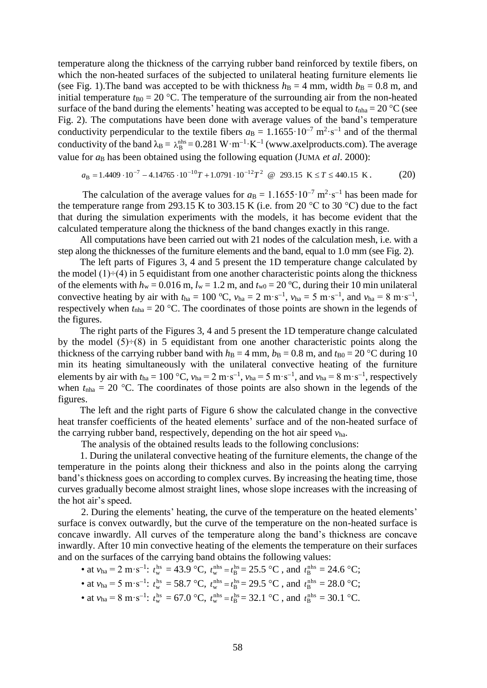temperature along the thickness of the carrying rubber band reinforced by textile fibers, on which the non-heated surfaces of the subjected to unilateral heating furniture elements lie (see Fig. 1). The band was accepted to be with thickness  $h_B = 4$  mm, width  $b_B = 0.8$  m, and initial temperature  $t_{B0} = 20$  °C. The temperature of the surrounding air from the non-heated surface of the band during the elements' heating was accepted to be equal to  $t_{nha} = 20 \degree C$  (see Fig. 2). The computations have been done with average values of the band's temperature conductivity perpendicular to the textile fibers  $a_B = 1.1655 \cdot 10^{-7} \text{ m}^2 \cdot \text{s}^{-1}$  and of the thermal conductivity of the band  $\lambda_B = \lambda_B^{nhs} = 0.281 \text{ W} \cdot \text{m}^{-1} \cdot \text{K}^{-1}$  [\(www.axelproducts.com\)](http://www.axelproducts.com/). The average value for *a*<sub>B</sub> has been obtained using the following equation (JUMA *et al.* 2000):<br>  $a_B = 1.4409 \cdot 10^{-7} - 4.14765 \cdot 10^{-10}T + 1.0791 \cdot 10^{-12}T^2 \quad \textcircled{e} \quad 293.15 \text{ K} \le T \le 440.15 \text{ K}$ 

$$
a_{\rm B} = 1.4409 \cdot 10^{-7} - 4.14765 \cdot 10^{-10} T + 1.0791 \cdot 10^{-12} T^2 \quad \textcircled{2} \quad 293.15 \quad \text{K} \le T \le 440.15 \quad \text{K} \,. \tag{20}
$$

The calculation of the average values for  $a_B = 1.1655 \cdot 10^{-7} \text{ m}^2 \cdot \text{s}^{-1}$  has been made for the temperature range from 293.15 K to 303.15 K (i.e. from 20  $^{\circ}$ C to 30  $^{\circ}$ C) due to the fact that during the simulation experiments with the models, it has become evident that the calculated temperature along the thickness of the band changes exactly in this range.

All computations have been carried out with 21 nodes of the calculation mesh, i.e. with a step along the thicknesses of the furniture elements and the band, equal to 1.0 mm (see Fig. 2).

The left parts of Figures 3, 4 and 5 present the 1D temperature change calculated by the model  $(1) \div (4)$  in 5 equidistant from one another characteristic points along the thickness of the elements with  $h_w = 0.016$  m,  $l_w = 1.2$  m, and  $t_{w0} = 20$  °C, during their 10 min unilateral convective heating by air with  $t_{ha} = 100 \text{ °C}$ ,  $v_{ha} = 2 \text{ m} \cdot \text{s}^{-1}$ ,  $v_{ha} = 5 \text{ m} \cdot \text{s}^{-1}$ , and  $v_{ha} = 8 \text{ m} \cdot \text{s}^{-1}$ , respectively when  $t<sub>nha</sub> = 20$  °C. The coordinates of those points are shown in the legends of the figures.

The right parts of the Figures 3, 4 and 5 present the 1D temperature change calculated by the model  $(5) \div (8)$  in 5 equidistant from one another characteristic points along the thickness of the carrying rubber band with  $h_B = 4$  mm,  $b_B = 0.8$  m, and  $t_{B0} = 20$  °C during 10 min its heating simultaneously with the unilateral convective heating of the furniture elements by air with  $t_{ha} = 100 \text{ °C}$ ,  $v_{ha} = 2 \text{ m} \cdot \text{s}^{-1}$ ,  $v_{ha} = 5 \text{ m} \cdot \text{s}^{-1}$ , and  $v_{ha} = 8 \text{ m} \cdot \text{s}^{-1}$ , respectively when  $t_{nha} = 20$  °C. The coordinates of those points are also shown in the legends of the figures.

The left and the right parts of Figure 6 show the calculated change in the convective heat transfer coefficients of the heated elements' surface and of the non-heated surface of the carrying rubber band, respectively, depending on the hot air speed *v*ha.

The analysis of the obtained results leads to the following conclusions:

1. During the unilateral convective heating of the furniture elements, the change of the temperature in the points along their thickness and also in the points along the carrying band's thickness goes on according to complex curves. By increasing the heating time, those curves gradually become almost straight lines, whose slope increases with the increasing of the hot air's speed.

2. During the elements' heating, the curve of the temperature on the heated elements' surface is convex outwardly, but the curve of the temperature on the non-heated surface is concave inwardly. All curves of the temperature along the band's thickness are concave inwardly. After 10 min convective heating of the elements the temperature on their surfaces and on the surfaces of the carrying band obtains the following values:

• at 
$$
v_{ha} = 2 \text{ m} \cdot \text{s}^{-1}
$$
:  $t_w^{hs} = 43.9 \text{ °C}$ ,  $t_w^{nhs} = t_B^{hs} = 25.5 \text{ °C}$ , and  $t_B^{nhs} = 24.6 \text{ °C}$ ;

- at  $v_{ha} = 5 \text{ m} \cdot \text{s}^{-1}$ :  $t_w^{hs} = 58.7 \text{ °C}$ ,  $t_w^{nhs} = t_B^{hs} = 29.5 \text{ °C}$ , and  $t_B^{nhs} = 28.0 \text{ °C}$ ;
- at  $v_{ha} = 8 \text{ m} \cdot \text{s}^{-1}$ :  $t_w^{hs} = 67.0 \text{ °C}$ ,  $t_w^{nhs} = t_B^{hs} = 32.1 \text{ °C}$ , and  $t_B^{nhs} = 30.1 \text{ °C}$ .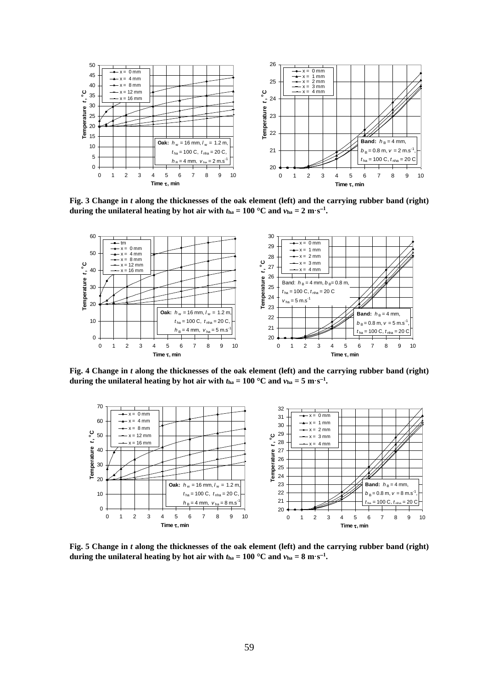

**Fig. 3 Change in** *t* **along the thicknesses of the oak element (left) and the carrying rubber band (right) during the unilateral heating by hot air with**  $t_{ha} = 100 \degree C$  **and**  $v_{ha} = 2 \text{ m} \cdot \text{s}^{-1}$ **.** 



**Fig. 4 Change in** *t* **along the thicknesses of the oak element (left) and the carrying rubber band (right) during the unilateral heating by hot air with**  $t_{ha} = 100 \degree C$  **and**  $v_{ha} = 5 \text{ m} \cdot \text{s}^{-1}$ **.** 



**Fig. 5 Change in** *t* **along the thicknesses of the oak element (left) and the carrying rubber band (right) during the unilateral heating by hot air with**  $t_{ha} = 100 \degree C$  **and**  $v_{ha} = 8 \text{ m} \cdot \text{s}^{-1}$ **.**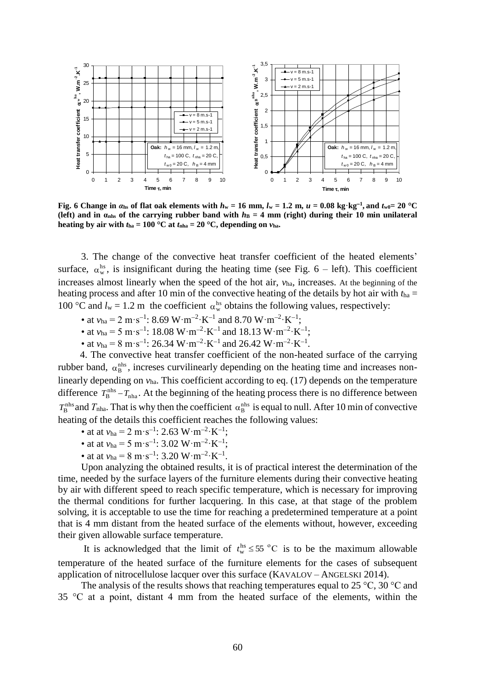

Fig. 6 Change in  $\alpha_{hs}$  of flat oak elements with  $h_w = 16$  mm,  $l_w = 1.2$  m,  $u = 0.08$  kg·kg<sup>-1</sup>, and  $t_{w0} = 20$  °C **(left) and in**  $\alpha_{\text{nhs}}$  **of the carrying rubber band with**  $h_B = 4$  **mm (right) during their 10 min unilateral heating by air with**  $t_{ha} = 100 \degree C$  at  $t_{nha} = 20 \degree C$ , depending on  $v_{ha}$ .

3. The change of the convective heat transfer coefficient of the heated elements' surface,  $\alpha_{w}^{hs}$ , is insignificant during the heating time (see Fig. 6 – left). This coefficient increases almost linearly when the speed of the hot air, *v*ha*,* increases. At the beginning of the heating process and after 10 min of the convective heating of the details by hot air with *t*ha = 100 °C and  $l_w = 1.2$  m the coefficient  $\alpha_w^{hs}$  obtains the following values, respectively:

- at  $v_{ha} = 2 \text{ m} \cdot \text{s}^{-1}$ : 8.69 W·m<sup>-2</sup>·K<sup>-1</sup> and 8.70 W·m<sup>-2</sup>·K<sup>-1</sup>;
- at  $v_{ha} = 5 \text{ m} \cdot \text{s}^{-1}$ : 18.08 W·m<sup>-2</sup>·K<sup>-1</sup> and 18.13 W·m<sup>-2</sup>·K<sup>-1</sup>;
- at  $v_{ha} = 8 \text{ m} \cdot \text{s}^{-1}$ : 26.34 W·m<sup>-2</sup>·K<sup>-1</sup> and 26.42 W·m<sup>-2</sup>·K<sup>-1</sup>.

4. The convective heat transfer coefficient of the non-heated surface of the carrying rubber band,  $\alpha_B^{nhs}$ , increses curvilinearly depending on the heating time and increases nonlinearly depending on  $v_{ha}$ . This coefficient according to eq. (17) depends on the temperature difference  $T_{\rm B}^{\rm nhs}$   $-T_{\rm nha}$ . At the beginning of the heating process there is no difference between  $T_B^{\text{nhs}}$  and  $T_{\text{nha}}$ . That is why then the coefficient  $\alpha_B^{\text{nhs}}$  is equal to null. After 10 min of convective heating of the details this coefficient reaches the following values:

- at at  $v_{ha} = 2 \text{ m} \cdot \text{s}^{-1}$ : 2.63 W·m<sup>-2</sup>·K<sup>-1</sup>;
- at at  $v_{ha} = 5 \text{ m} \cdot \text{s}^{-1}$ : 3.02 W·m<sup>-2</sup>·K<sup>-1</sup>;
- at at  $v_{ha} = 8 \text{ m} \cdot \text{s}^{-1}$ : 3.20 W·m<sup>-2</sup>·K<sup>-1</sup>.

Upon analyzing the obtained results, it is of practical interest the determination of the time, needed by the surface layers of the furniture elements during their convective heating by air with different speed to reach specific temperature, which is necessary for improving the thermal conditions for further lacquering. In this case, at that stage of the problem solving, it is acceptable to use the time for reaching a predetermined temperature at a point that is 4 mm distant from the heated surface of the elements without, however, exceeding their given allowable surface temperature.

It is acknowledged that the limit of  $t_w^{hs} \le 55$  °C is to be the maximum allowable temperature of the heated surface of the furniture elements for the cases of subsequent application of nitrocellulose lacquer over this surface (KAVALOV – ANGELSKI 2014).

The analysis of the results shows that reaching temperatures equal to 25 °C, 30 °C and 35 °С at a point, distant 4 mm from the heated surface of the elements, within the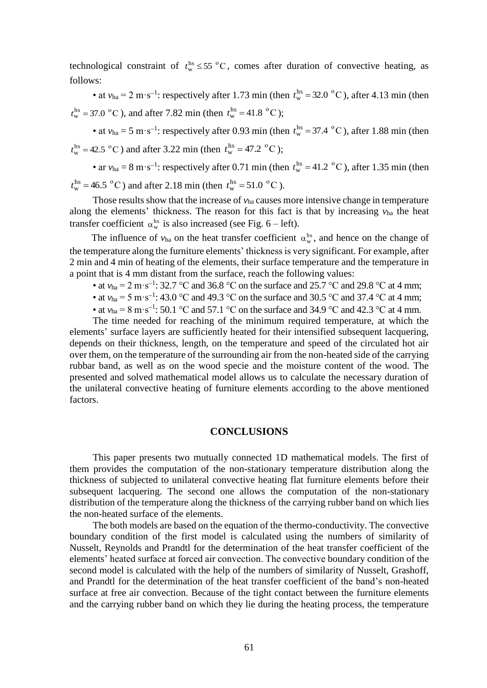technological constraint of  $t_w^{hs} \le 55$  °C, comes after duration of convective heating, as follows:

• at  $v_{ha} = 2 \text{ m} \cdot \text{s}^{-1}$ : respectively after 1.73 min (then  $t_w^{hs} = 32.0 \text{ °C}$ ), after 4.13 min (then  $t_w^{\text{hs}} = 37.0 \text{ °C}$ , and after 7.82 min (then  $t_w^{\text{hs}} = 41.8 \text{ °C}$ );

• at  $v_{ha} = 5 \text{ m} \cdot \text{s}^{-1}$ : respectively after 0.93 min (then  $t_w^{hs} = 37.4 \text{ °C}$ ), after 1.88 min (then  $t_{\rm w}^{\rm hs} = 42.5 \text{ °C}$ ) and after 3.22 min (then  $t_{\rm w}^{\rm hs} = 47.2 \text{ °C}$ );

• ar  $v_{ha} = 8 \text{ m} \cdot \text{s}^{-1}$ : respectively after 0.71 min (then  $t_w^{hs} = 41.2 \text{ °C}$ ), after 1.35 min (then  $t_w^{\text{hs}} = 46.5 \text{ °C}$ ) and after 2.18 min (then  $t_w^{\text{hs}} = 51.0 \text{ °C}$ ).

Those results show that the increase of *v*ha causes more intensive change in temperature along the elements' thickness. The reason for this fact is that by increasing  $v_{ha}$  the heat transfer coefficient  $\alpha_{w}^{hs}$  is also increased (see Fig. 6 – left).

The influence of  $v_{ha}$  on the heat transfer coefficient  $\alpha_w^{hs}$ , and hence on the change of the temperature along the furniture elements' thickness is very significant. For example, after 2 min and 4 min of heating of the elements, their surface temperature and the temperature in a point that is 4 mm distant from the surface, reach the following values:

- at  $v_{ha} = 2 \text{ m} \cdot \text{s}^{-1}$ : 32.7 °C and 36.8 °C on the surface and 25.7 °C and 29.8 °C at 4 mm;
- at  $v_{ha} = 5 \text{ m} \cdot \text{s}^{-1}$ : 43.0 °C and 49.3 °C on the surface and 30.5 °C and 37.4 °C at 4 mm;
- at  $v_{ha} = 8 \text{ m} \cdot \text{s}^{-1}$ : 50.1 °C and 57.1 °C on the surface and 34.9 °C and 42.3 °C at 4 mm.

The time needed for reaching of the minimum required temperature, at which the elements' surface layers are sufficiently heated for their intensified subsequent lacquering, depends on their thickness, length, on the temperature and speed of the circulated hot air over them, on the temperature of the surrounding air from the non-heated side of the carrying rubbar band, as well as on the wood specie and the moisture content of the wood. The presented and solved mathematical model allows us to calculate the necessary duration of the unilateral convective heating of furniture elements according to the above mentioned factors.

#### **CONCLUSIONS**

This paper presents two mutually connected 1D mathematical models. The first of them provides the computation of the non-stationary temperature distribution along the thickness of subjected to unilateral convective heating flat furniture elements before their subsequent lacquering. The second one allows the computation of the non-stationary distribution of the temperature along the thickness of the carrying rubber band on which lies the non-heated surface of the elements.

The both models are based on the equation of the thermo-conductivity. The convective boundary condition of the first model is calculated using the numbers of similarity of Nusselt, Reynolds and Prandtl for the determination of the heat transfer coefficient of the elements' heated surface at forced air convection. The convective boundary condition of the second model is calculated with the help of the numbers of similarity of Nusselt, Grashoff, and Prandtl for the determination of the heat transfer coefficient of the band's non-heated surface at free air convection. Because of the tight contact between the furniture elements and the carrying rubber band on which they lie during the heating process, the temperature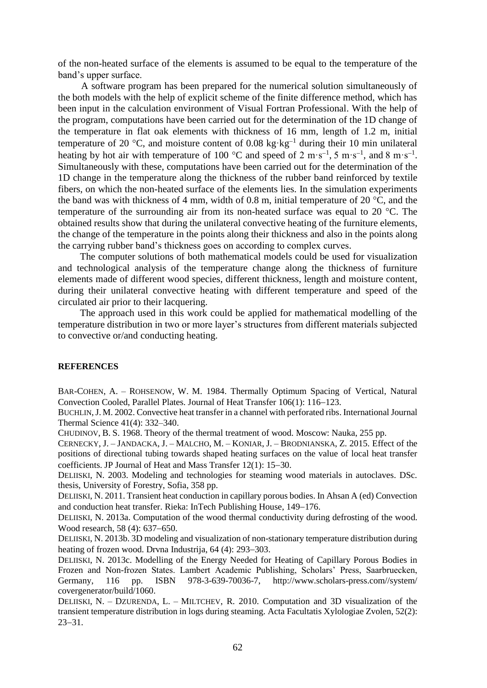of the non-heated surface of the elements is assumed to be equal to the temperature of the band's upper surface.

A software program has been prepared for the numerical solution simultaneously of the both models with the help of explicit scheme of the finite difference method, which has been input in the calculation environment of Visual Fortran Professional. With the help of the program, computations have been carried out for the determination of the 1D change of the temperature in flat oak elements with thickness of 16 mm, length of 1.2 m, initial temperature of 20 °C, and moisture content of 0.08 kg $\cdot$ kg<sup>-1</sup> during their 10 min unilateral heating by hot air with temperature of 100 °C and speed of 2 m·s<sup>-1</sup>, 5 m·s<sup>-1</sup>, and 8 m·s<sup>-1</sup>. Simultaneously with these, computations have been carried out for the determination of the 1D change in the temperature along the thickness of the rubber band reinforced by textile fibers, on which the non-heated surface of the elements lies. In the simulation experiments the band was with thickness of 4 mm, width of 0.8 m, initial temperature of 20 °C, and the temperature of the surrounding air from its non-heated surface was equal to 20 °C. The obtained results show that during the unilateral convective heating of the furniture elements, the change of the temperature in the points along their thickness and also in the points along the carrying rubber band's thickness goes on according to complex curves.

The computer solutions of both mathematical models could be used for visualization and technological analysis of the temperature change along the thickness of furniture elements made of different wood species, different thickness, length and moisture content, during their unilateral convective heating with different temperature and speed of the circulated air prior to their lacquering.

The approach used in this work could be applied for mathematical modelling of the temperature distribution in two or more layer's structures from different materials subjected to convective or/and conducting heating.

#### **REFERENCES**

BAR-C[OHEN](http://www.scopus.com/authid/detail.uri?authorId=7006690561&eid=2-s2.0-0021370981), A. – R[OHSENOW](http://www.scopus.com/authid/detail.uri?authorId=7004461943&eid=2-s2.0-0021370981), W. M. 1984. Thermally Optimum Spacing of Vertical, Natural Convection Cooled, Parallel Plates. Journal of Heat Transfer 106(1): 116–123.

BUCHLIN,J. M. 2002. Convective heat transfer in a channel with perforated ribs. International Journal Thermal Science 41(4): 332–340.

CHUDINOV, B. S. 1968. Theory of the thermal treatment of wood. Moscow: Nauka, 255 pp.

C[ERNECKY](http://www.scopus.com/authid/detail.uri?authorId=55656186800&eid=2-s2.0-84937904840), J. – J[ANDACKA](http://www.scopus.com/authid/detail.uri?authorId=55656186800&eid=2-s2.0-84937904840), J. – M[ALCHO](http://www.scopus.com/authid/detail.uri?authorId=6507788799&eid=2-s2.0-84937904840), M. – K[ONIAR](http://www.scopus.com/authid/detail.uri?authorId=55656835300&eid=2-s2.0-84937904840), J. – B[RODNIANSKA](http://www.scopus.com/authid/detail.uri?authorId=55656178300&eid=2-s2.0-84937904840), Z. 2015. Effect of the positions of directional tubing towards shaped heating surfaces on the value of local heat transfer coefficients. [JP Journal of Heat and Mass Transfer](http://www.scopus.com/source/sourceInfo.uri?sourceId=19700188163&origin=resultslist)  $12(1)$ :  $15-30$ .

DELIISKI, N. 2003. Modeling and technologies for steaming wood materials in autoclaves. DSc. thesis, University of Forestry, Sofia, 358 pp.

DELIISKI, N. 2011. Transient heat conduction in capillary porous bodies. In Ahsan A (ed) Convection and conduction heat transfer. Rieka: InTech Publishing House, 149–176.

DELIISKI, N. 2013a. Computation of the wood thermal conductivity during defrosting of the wood. Wood research, 58 (4): 637–650.

DELIISKI, N. 2013b. 3D modeling and visualization of non-stationary temperature distribution during heating of frozen wood. Drvna Industrija, 64 (4): 293–303.

DELIISKI, N. 2013c. Modelling of the Energy Needed for Heating of Capillary Porous Bodies in Frozen and Non-frozen States. Lambert Academic Publishing, Scholars' Press, Saarbruecken, Germany, 116 pp. ISBN 978-3-639-70036-7, http://www.scholars-press.com//system/ covergenerator/build/1060.

DELIISKI, N. – DZURENDA, L. – MILTCHEV, R. 2010. Computation and 3D visualization of the transient temperature distribution in logs during steaming. Acta Facultatis Xylologiae Zvolen, 52(2):  $23 - 31$ .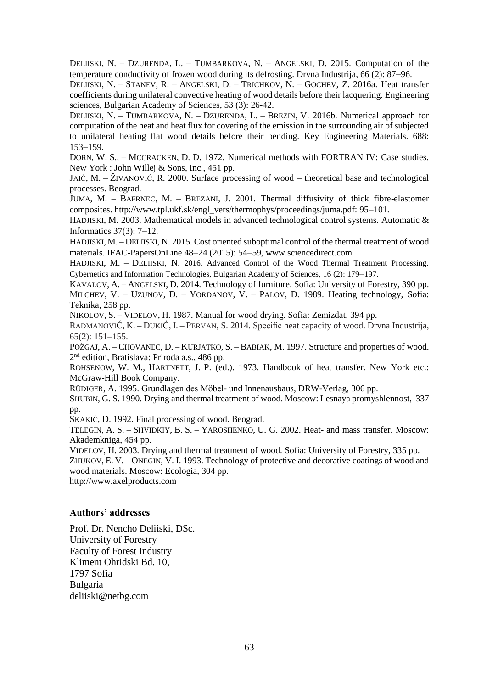DELIISKI, N. – DZURENDA, L. – TUMBARKOVA, N. – ANGELSKI, D. 2015. Computation of the temperature conductivity of frozen wood during its defrosting. Drvna Industrija, 66 (2): 87–96.

DELIISKI, N. – STANEV, R. – ANGELSKI, D. – TRICHKOV, N. – GOCHEV, Z. 2016a. Heat transfer coefficients during unilateral convective heating of wood details before their lacquering. Engineering sciences, Bulgarian Academy of Sciences, 53 (3): 26-42.

DELIISKI, N. – TUMBARKOVA, N. – DZURENDA, L. – BREZIN, V. 2016b. Numerical approach for computation of the heat and heat flux for covering of the emission in the surrounding air of subjected to unilateral heating flat wood details before their bending. Key Engineering Materials. 688:  $153 - 159.$ 

DORN, W. S., – MCCRACKEN, D. D. 1972. Numerical methods with FORTRAN IV: Case studies. New York : John Willej & Sons, Inc., 451 pp.

JAIĆ, M. – ŽIVANOVIĆ, R. 2000. Surface processing of wood – theoretical base and technological processes. Beograd.

JUMA, M. – BAFRNEC, M. – BREZANI, J. 2001. Thermal diffusivity of thick fibre-elastomer composites. http://www.tpl.ukf.sk/engl\_vers/thermophys/proceedings/juma.pdf: 95-101.

HADJISKI, M. 2003. Mathematical models in advanced technological control systems. Automatic & Informatics  $37(3)$ :  $7-12$ .

HADJISKI, M. – DELIISKI, N. 2015. Cost oriented suboptimal control of the thermal treatment of wood materials. IFAC-PapersOnLine 48-24 (2015): 54-59[, www.sciencedirect.com.](http://www.sciencedirect.com/)

HADJISKI, M. - DELIISKI, N. 2016. Advanced Control of the Wood Thermal Treatment Processing. Cybernetics and Information Technologies, Bulgarian Academy of Sciences, 16 (2): 179–197.

KAVALOV, A. – ANGELSKI, D. 2014. Technology of furniture. Sofia: University of Forestry, 390 pp. MILCHEV, V. – UZUNOV, D. – YORDANOV, V. – PALOV, D. 1989. Heating technology, Sofia: Teknika, 258 pp.

NIKOLOV, S. – VIDELOV, H. 1987. Manual for wood drying. Sofia: Zemizdat, 394 pp.

RADMANOVIĆ, K. – DUKIĆ, I. – PERVAN, S. 2014. Specific heat capacity of wood. Drvna Industrija,  $65(2): 151-155.$ 

POŽGAJ, A. – CHOVANEC, D. – KURJATKO, S. – BABIAK, M. 1997. Structure and properties of wood. 2<sup>nd</sup> edition, Bratislava: Priroda a.s., 486 pp.

ROHSENOW, W. M., HARTNETT, J. P. (ed.). 1973. Handbook of heat transfer. New York etc.: McGraw-Hill Book Company.

RÜDIGER, A. 1995. Grundlagen des Möbel- und Innenausbaus, DRW-Verlag, 306 pp.

SHUBIN, G. S. 1990. Drying and thermal treatment of wood. Moscow: Lesnaya promyshlennost, 337 pp.

SKAKIĆ, D. 1992. Final processing of wood. Beograd.

TELEGIN, A. S. – SHVIDKIY, B. S. – YAROSHENKO, U. G. 2002. Heat- and mass transfer. Moscow: Akademkniga, 454 pp.

VIDELOV, H. 2003. Drying and thermal treatment of wood. Sofia: University of Forestry, 335 pp.

ZHUKOV, E. V. – ONEGIN, V. I. 1993. Technology of protective and decorative coatings of wood and wood materials. Moscow: Ecologia, 304 pp.

http:/[/www.axelproducts.com](http://www.axelproducts.com/)

#### **Authors' addresses**

Prof. Dr. Nencho Deliiski, DSc. University of Forestry Faculty of Forest Industry Kliment Ohridski Bd. 10, 1797 Sofia Bulgaria deliiski@netbg.com